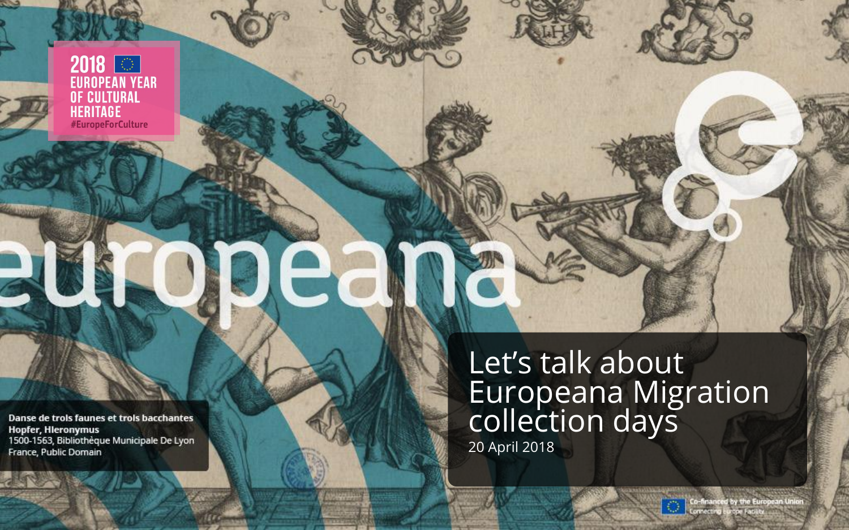2018 **OD**<br>EUROPEAN YEAR **OF CULTURAL<br>HERITAGE<br>#EuropeForCulture** 

Danse de trois faunes et trois bacchantes **Hopfer, Hieronymus** 1500-1563, Bibliothèque Municipale De Lyon France, Public Domain

Let's talk about Europeana Migration collection days 20 April 2018

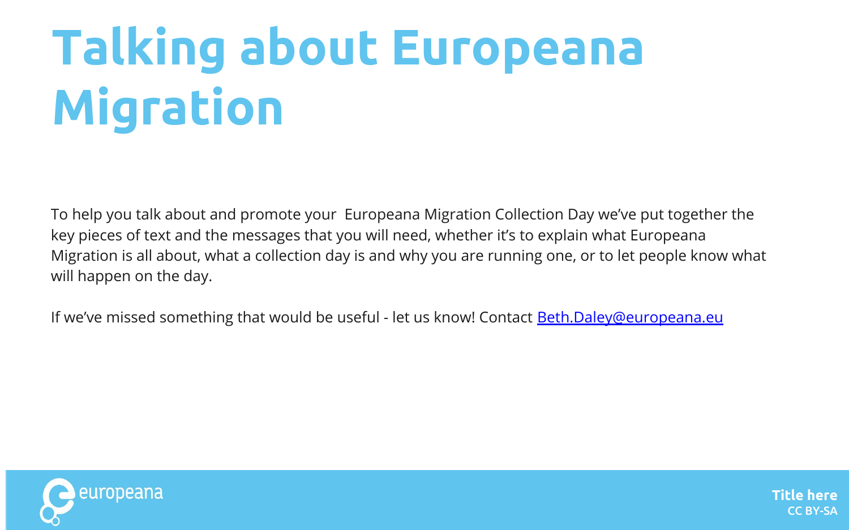# **Talking about Europeana Migration**

To help you talk about and promote your Europeana Migration Collection Day we've put together the key pieces of text and the messages that you will need, whether it's to explain what Europeana Migration is all about, what a collection day is and why you are running one, or to let people know what will happen on the day.

If we've missed something that would be useful - let us know! Contact [Beth.Daley@europeana.eu](mailto:Beth.Daley@europeana.eu)

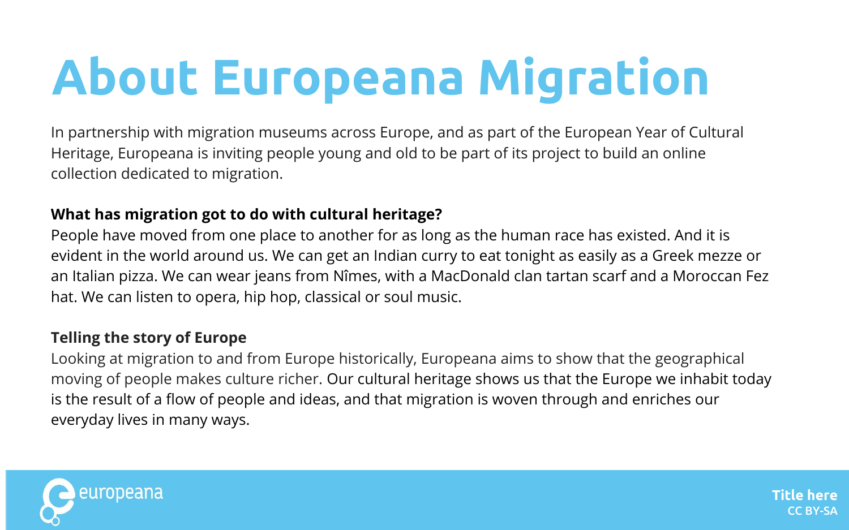# **About Europeana Migration**

In partnership with migration museums across Europe, and as part of the European Year of Cultural Heritage, Europeana is inviting people young and old to be part of its project to build an online collection dedicated to migration.

#### **What has migration got to do with cultural heritage?**

People have moved from one place to another for as long as the human race has existed. And it is evident in the world around us. We can get an Indian curry to eat tonight as easily as a Greek mezze or an Italian pizza. We can wear jeans from Nîmes, with a MacDonald clan tartan scarf and a Moroccan Fez hat. We can listen to opera, hip hop, classical or soul music.

#### **Telling the story of Europe**

Looking at migration to and from Europe historically, Europeana aims to show that the geographical moving of people makes culture richer. Our cultural heritage shows us that the Europe we inhabit today is the result of a flow of people and ideas, and that migration is woven through and enriches our everyday lives in many ways.

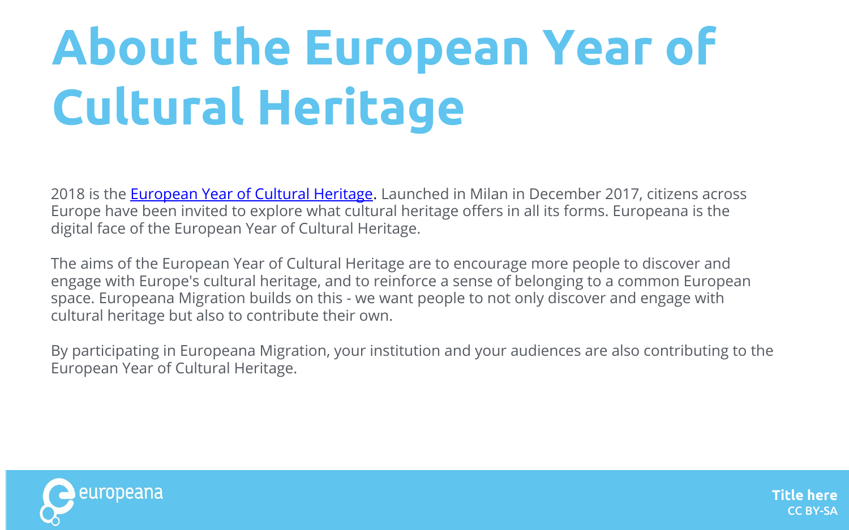# **About the European Year of Cultural Heritage**

2018 is the **European Year of Cultural Heritage**. Launched in Milan in December 2017, citizens across Europe have been invited to explore what cultural heritage offers in all its forms. Europeana is the digital face of the European Year of Cultural Heritage.

The aims of the European Year of Cultural Heritage are to encourage more people to discover and engage with Europe's cultural heritage, and to reinforce a sense of belonging to a common European space. Europeana Migration builds on this - we want people to not only discover and engage with cultural heritage but also to contribute their own.

By participating in Europeana Migration, your institution and your audiences are also contributing to the European Year of Cultural Heritage.

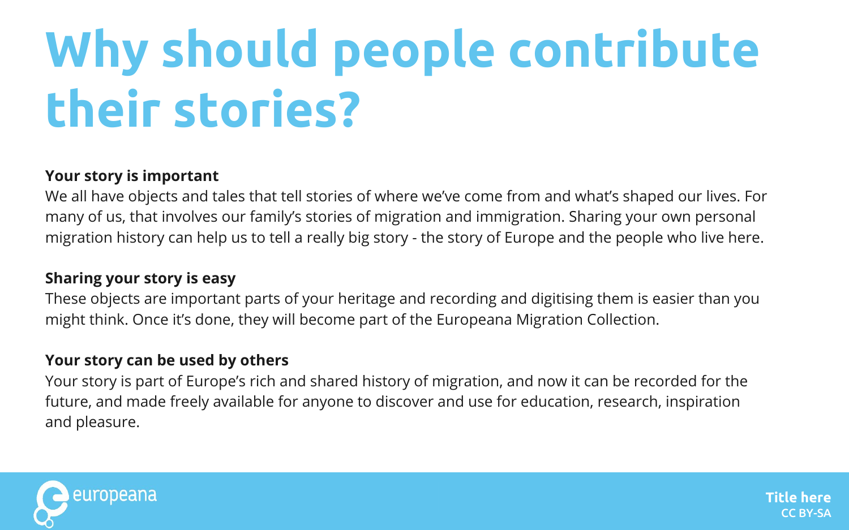## **Why should people contribute their stories?**

#### **Your story is important**

We all have objects and tales that tell stories of where we've come from and what's shaped our lives. For many of us, that involves our family's stories of migration and immigration. Sharing your own personal migration history can help us to tell a really big story - the story of Europe and the people who live here.

#### **Sharing your story is easy**

These objects are important parts of your heritage and recording and digitising them is easier than you might think. Once it's done, they will become part of the Europeana Migration Collection.

#### **Your story can be used by others**

Your story is part of Europe's rich and shared history of migration, and now it can be recorded for the future, and made freely available for anyone to discover and use for education, research, inspiration and pleasure.

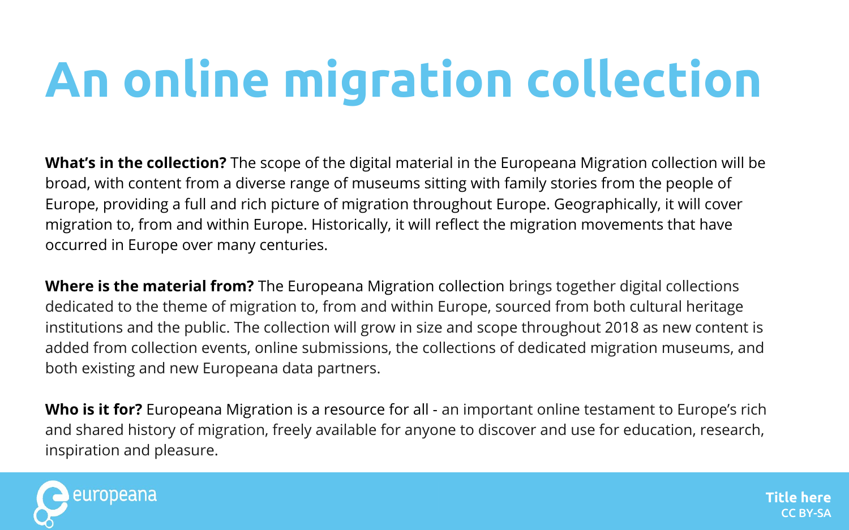## **An online migration collection**

**What's in the collection?** The scope of the digital material in the Europeana Migration collection will be broad, with content from a diverse range of museums sitting with family stories from the people of Europe, providing a full and rich picture of migration throughout Europe. Geographically, it will cover migration to, from and within Europe. Historically, it will reflect the migration movements that have occurred in Europe over many centuries.

**Where is the material from?** The Europeana Migration collection brings together digital collections dedicated to the theme of migration to, from and within Europe, sourced from both cultural heritage institutions and the public. The collection will grow in size and scope throughout 2018 as new content is added from collection events, online submissions, the collections of dedicated migration museums, and both existing and new Europeana data partners.

**Who is it for?** Europeana Migration is a resource for all - an important online testament to Europe's rich and shared history of migration, freely available for anyone to discover and use for education, research, inspiration and pleasure.

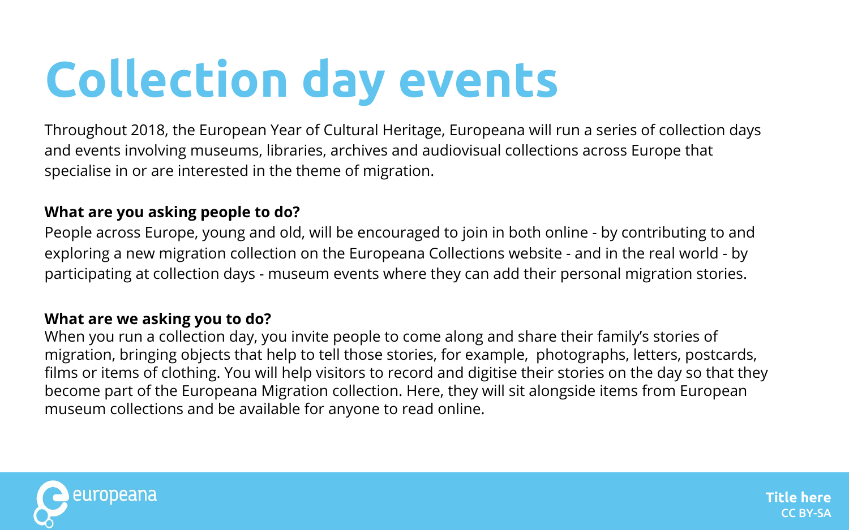### **Collection day events**

Throughout 2018, the European Year of Cultural Heritage, Europeana will run a series of collection days and events involving museums, libraries, archives and audiovisual collections across Europe that specialise in or are interested in the theme of migration.

#### **What are you asking people to do?**

People across Europe, young and old, will be encouraged to join in both online - by contributing to and exploring a new migration collection on the Europeana Collections website - and in the real world - by participating at collection days - museum events where they can add their personal migration stories.

#### **What are we asking you to do?**

When you run a collection day, you invite people to come along and share their family's stories of migration, bringing objects that help to tell those stories, for example, photographs, letters, postcards, films or items of clothing. You will help visitors to record and digitise their stories on the day so that they become part of the Europeana Migration collection. Here, they will sit alongside items from European museum collections and be available for anyone to read online.

**Title here**

CC BY-SA

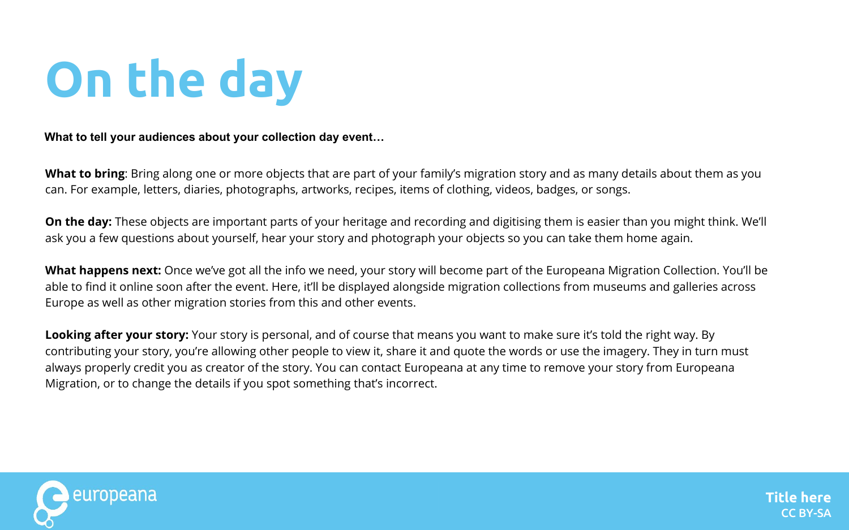### **On the day**

**What to tell your audiences about your collection day event…** 

**What to bring**: Bring along one or more objects that are part of your family's migration story and as many details about them as you can. For example, letters, diaries, photographs, artworks, recipes, items of clothing, videos, badges, or songs.

**On the day:** These objects are important parts of your heritage and recording and digitising them is easier than you might think. We'll ask you a few questions about yourself, hear your story and photograph your objects so you can take them home again.

**What happens next:** Once we've got all the info we need, your story will become part of the Europeana Migration Collection. You'll be able to find it online soon after the event. Here, it'll be displayed alongside migration collections from museums and galleries across Europe as well as other migration stories from this and other events.

**Looking after your story:** Your story is personal, and of course that means you want to make sure it's told the right way. By contributing your story, you're allowing other people to view it, share it and quote the words or use the imagery. They in turn must always properly credit you as creator of the story. You can contact Europeana at any time to remove your story from Europeana Migration, or to change the details if you spot something that's incorrect.

**Title here**

CC BY-SA